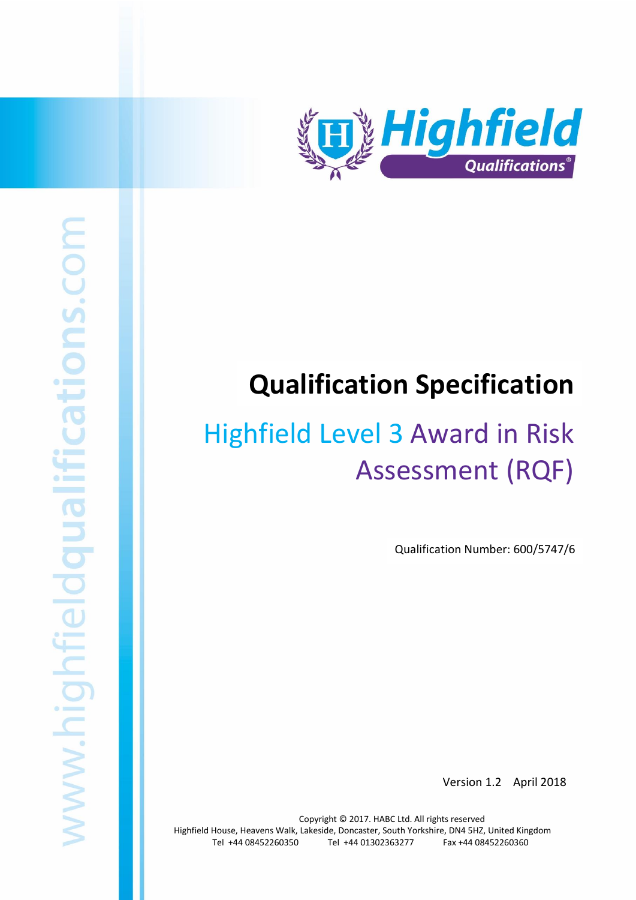

# **Qualification Specification**

# Highfield Level 3 Award in Risk Assessment (RQF)

Qualification Number: 600/5747/6

Version 1.2 April 2018

Copyright © 2017. HABC Ltd. All rights reserved Highfield House, Heavens Walk, Lakeside, Doncaster, South Yorkshire, DN4 5HZ, United Kingdom Tel +44 08452260350 Tel +44 01302363277 Fax +44 08452260360

Highfield Level 3 Award in Risk Assessment (RQF) 1 Award in Risk Assessment (RQF) 1 Award in Risk Assessment (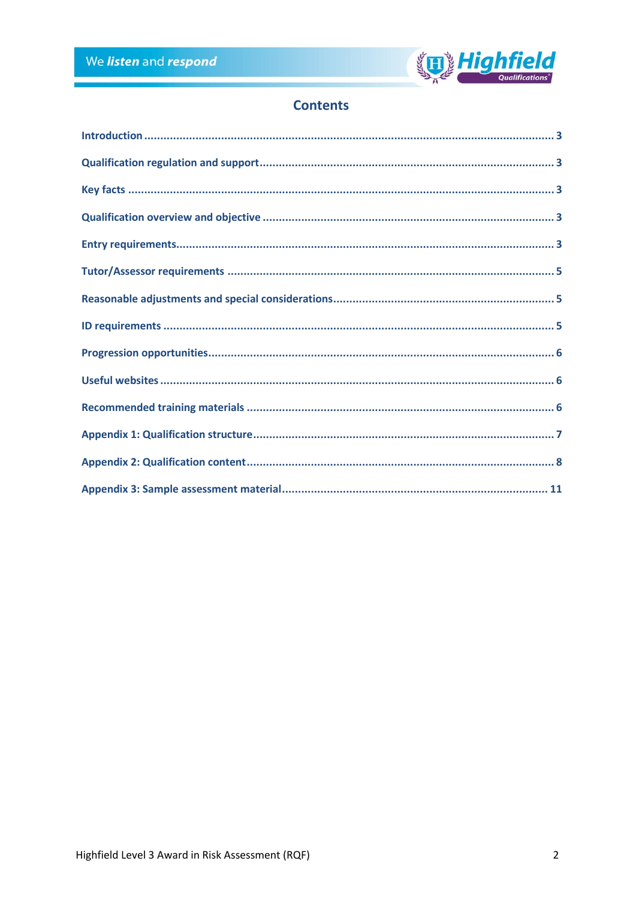

## **Contents**

| $\label{lem:1} \mbox{Introduction} \,\, \ldots \,\, \ldots \,\, \ldots \,\, \ldots \,\, \ldots \,\, \ldots \,\, \ldots \,\, \ldots \,\, \ldots \,\, \ldots \,\, \ldots \,\, \ldots \,\, \ldots \,\, \ldots \,\, \ldots \,\, \ldots \,\, \ldots \,\, \ldots \,\, \ldots \,\, \ldots \,\, \ldots \,\, \ldots \,\, \ldots \,\, \ldots \,\, \ldots \,\, \ldots \,\, \ldots \,\, \ldots \,\, \ldots \,\, \ldots \,\, \ldots \,\, \ldots \,\, \ldots \,\, \ldots \,\,$ |  |
|------------------------------------------------------------------------------------------------------------------------------------------------------------------------------------------------------------------------------------------------------------------------------------------------------------------------------------------------------------------------------------------------------------------------------------------------------------------|--|
|                                                                                                                                                                                                                                                                                                                                                                                                                                                                  |  |
|                                                                                                                                                                                                                                                                                                                                                                                                                                                                  |  |
|                                                                                                                                                                                                                                                                                                                                                                                                                                                                  |  |
|                                                                                                                                                                                                                                                                                                                                                                                                                                                                  |  |
|                                                                                                                                                                                                                                                                                                                                                                                                                                                                  |  |
|                                                                                                                                                                                                                                                                                                                                                                                                                                                                  |  |
|                                                                                                                                                                                                                                                                                                                                                                                                                                                                  |  |
|                                                                                                                                                                                                                                                                                                                                                                                                                                                                  |  |
|                                                                                                                                                                                                                                                                                                                                                                                                                                                                  |  |
|                                                                                                                                                                                                                                                                                                                                                                                                                                                                  |  |
|                                                                                                                                                                                                                                                                                                                                                                                                                                                                  |  |
|                                                                                                                                                                                                                                                                                                                                                                                                                                                                  |  |
|                                                                                                                                                                                                                                                                                                                                                                                                                                                                  |  |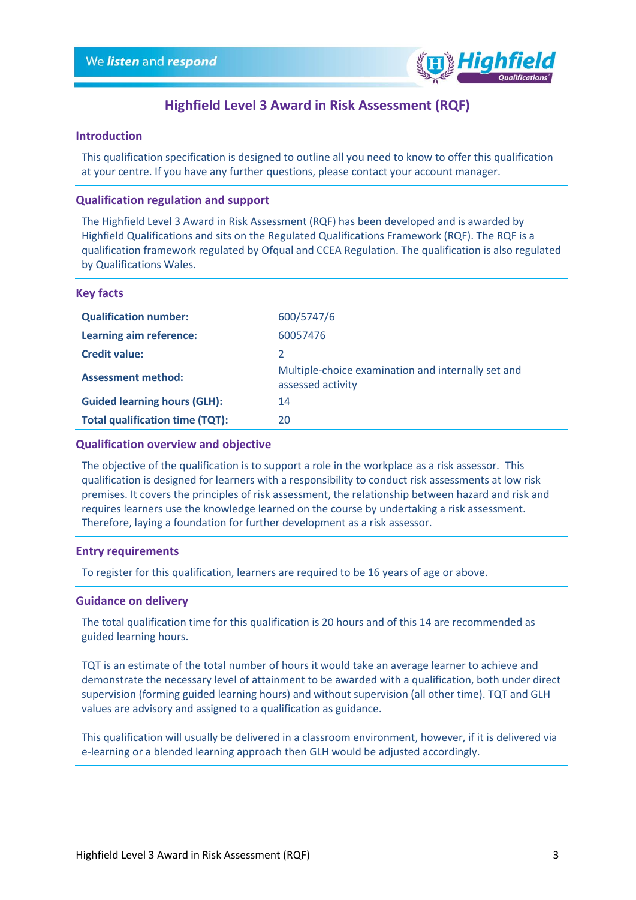

### **Highfield Level 3 Award in Risk Assessment (RQF)**

#### <span id="page-2-0"></span>**Introduction**

This qualification specification is designed to outline all you need to know to offer this qualification at your centre. If you have any further questions, please contact your account manager.

#### <span id="page-2-1"></span>**Qualification regulation and support**

The Highfield Level 3 Award in Risk Assessment (RQF) has been developed and is awarded by Highfield Qualifications and sits on the Regulated Qualifications Framework (RQF). The RQF is a qualification framework regulated by Ofqual and CCEA Regulation. The qualification is also regulated by Qualifications Wales.

#### <span id="page-2-2"></span>**Key facts**

| <b>Qualification number:</b>           | 600/5747/6                                                              |
|----------------------------------------|-------------------------------------------------------------------------|
| Learning aim reference:                | 60057476                                                                |
| <b>Credit value:</b>                   |                                                                         |
| <b>Assessment method:</b>              | Multiple-choice examination and internally set and<br>assessed activity |
| <b>Guided learning hours (GLH):</b>    | 14                                                                      |
| <b>Total qualification time (TQT):</b> | 20                                                                      |

#### <span id="page-2-3"></span>**Qualification overview and objective**

The objective of the qualification is to support a role in the workplace as a risk assessor. This qualification is designed for learners with a responsibility to conduct risk assessments at low risk premises. It covers the principles of risk assessment, the relationship between hazard and risk and requires learners use the knowledge learned on the course by undertaking a risk assessment. Therefore, laying a foundation for further development as a risk assessor.

#### <span id="page-2-4"></span>**Entry requirements**

To register for this qualification, learners are required to be 16 years of age or above.

#### **Guidance on delivery**

The total qualification time for this qualification is 20 hours and of this 14 are recommended as guided learning hours.

TQT is an estimate of the total number of hours it would take an average learner to achieve and demonstrate the necessary level of attainment to be awarded with a qualification, both under direct supervision (forming guided learning hours) and without supervision (all other time). TQT and GLH values are advisory and assigned to a qualification as guidance.

This qualification will usually be delivered in a classroom environment, however, if it is delivered via e-learning or a blended learning approach then GLH would be adjusted accordingly.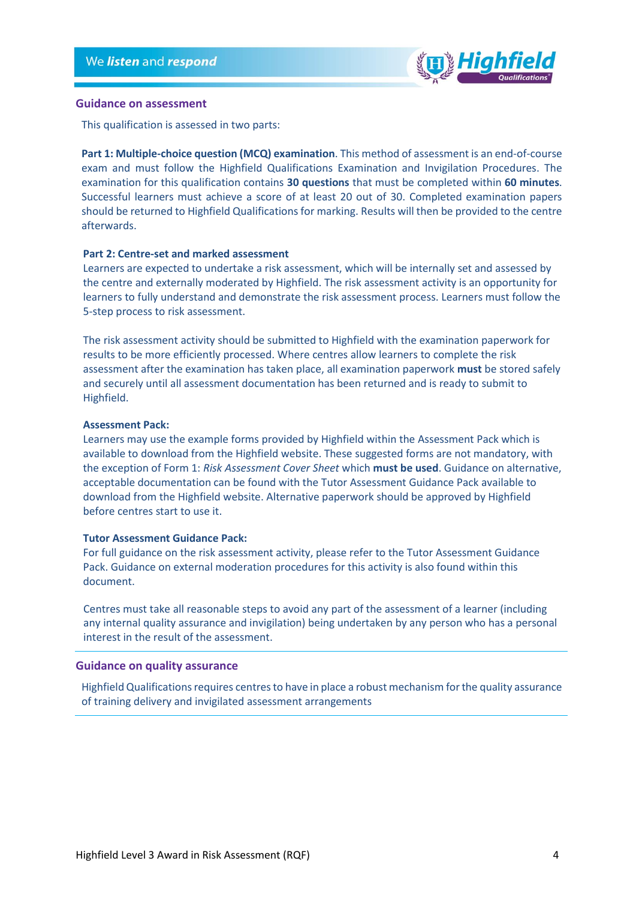

#### **Guidance on assessment**

This qualification is assessed in two parts:

**Part 1: Multiple-choice question (MCQ) examination**. This method of assessment is an end-of-course exam and must follow the Highfield Qualifications Examination and Invigilation Procedures. The examination for this qualification contains **30 questions** that must be completed within **60 minutes**. Successful learners must achieve a score of at least 20 out of 30. Completed examination papers should be returned to Highfield Qualifications for marking. Results will then be provided to the centre afterwards.

#### **Part 2: Centre-set and marked assessment**

Learners are expected to undertake a risk assessment, which will be internally set and assessed by the centre and externally moderated by Highfield. The risk assessment activity is an opportunity for learners to fully understand and demonstrate the risk assessment process. Learners must follow the 5-step process to risk assessment.

The risk assessment activity should be submitted to Highfield with the examination paperwork for results to be more efficiently processed. Where centres allow learners to complete the risk assessment after the examination has taken place, all examination paperwork **must** be stored safely and securely until all assessment documentation has been returned and is ready to submit to Highfield.

#### **Assessment Pack:**

Learners may use the example forms provided by Highfield within the Assessment Pack which is available to download from the Highfield website. These suggested forms are not mandatory, with the exception of Form 1: *Risk Assessment Cover Sheet* which **must be used**. Guidance on alternative, acceptable documentation can be found with the Tutor Assessment Guidance Pack available to download from the Highfield website. Alternative paperwork should be approved by Highfield before centres start to use it.

#### **Tutor Assessment Guidance Pack:**

For full guidance on the risk assessment activity, please refer to the Tutor Assessment Guidance Pack. Guidance on external moderation procedures for this activity is also found within this document.

Centres must take all reasonable steps to avoid any part of the assessment of a learner (including any internal quality assurance and invigilation) being undertaken by any person who has a personal interest in the result of the assessment.

#### **Guidance on quality assurance**

Highfield Qualifications requires centres to have in place a robust mechanism for the quality assurance of training delivery and invigilated assessment arrangements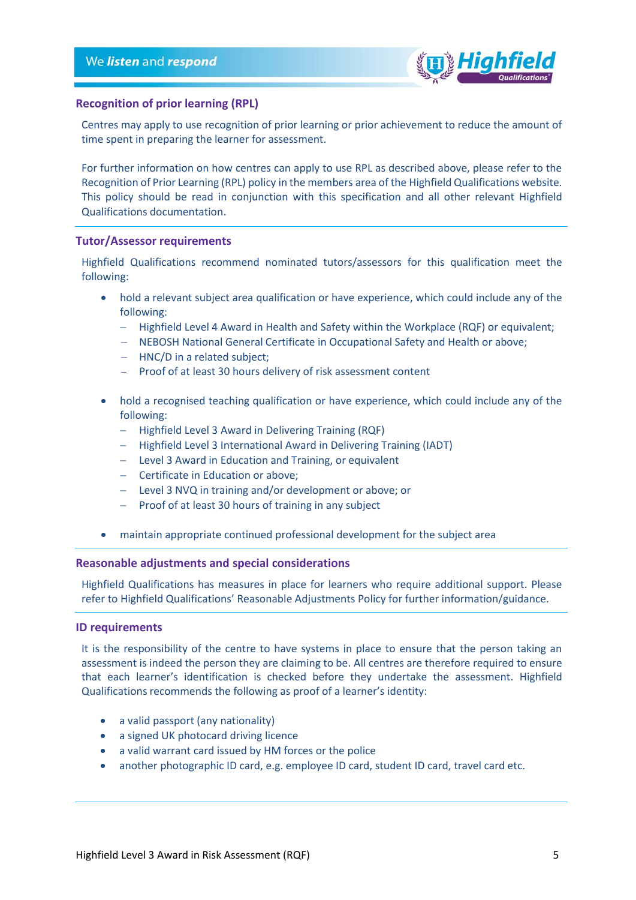

#### **Recognition of prior learning (RPL)**

Centres may apply to use recognition of prior learning or prior achievement to reduce the amount of time spent in preparing the learner for assessment.

For further information on how centres can apply to use RPL as described above, please refer to the Recognition of Prior Learning (RPL) policy in the members area of the Highfield Qualifications website. This policy should be read in conjunction with this specification and all other relevant Highfield Qualifications documentation.

#### <span id="page-4-0"></span>**Tutor/Assessor requirements**

Highfield Qualifications recommend nominated tutors/assessors for this qualification meet the following:

- hold a relevant subject area qualification or have experience, which could include any of the following:
	- $-$  Highfield Level 4 Award in Health and Safety within the Workplace (RQF) or equivalent;
	- NEBOSH National General Certificate in Occupational Safety and Health or above;
	- HNC/D in a related subject;
	- Proof of at least 30 hours delivery of risk assessment content
- hold a recognised teaching qualification or have experience, which could include any of the following:
	- Highfield Level 3 Award in Delivering Training (RQF)
	- Highfield Level 3 International Award in Delivering Training (IADT)
	- Level 3 Award in Education and Training, or equivalent
	- Certificate in Education or above:
	- Level 3 NVQ in training and/or development or above; or
	- $P$  Proof of at least 30 hours of training in any subject
- maintain appropriate continued professional development for the subject area

#### <span id="page-4-1"></span>**Reasonable adjustments and special considerations**

Highfield Qualifications has measures in place for learners who require additional support. Please refer to Highfield Qualifications' Reasonable Adjustments Policy for further information/guidance.

#### <span id="page-4-2"></span>**ID requirements**

It is the responsibility of the centre to have systems in place to ensure that the person taking an assessment is indeed the person they are claiming to be. All centres are therefore required to ensure that each learner's identification is checked before they undertake the assessment. Highfield Qualifications recommends the following as proof of a learner's identity:

- a valid passport (any nationality)
- a signed UK photocard driving licence
- a valid warrant card issued by HM forces or the police
- another photographic ID card, e.g. employee ID card, student ID card, travel card etc.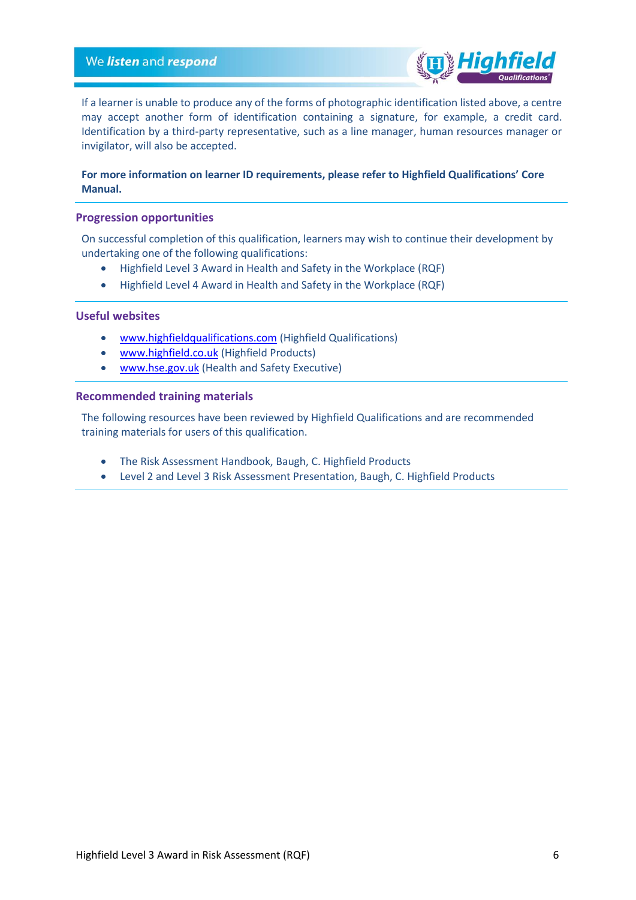

If a learner is unable to produce any of the forms of photographic identification listed above, a centre may accept another form of identification containing a signature, for example, a credit card. Identification by a third-party representative, such as a line manager, human resources manager or invigilator, will also be accepted.

#### **For more information on learner ID requirements, please refer to Highfield Qualifications' Core Manual.**

#### <span id="page-5-0"></span>**Progression opportunities**

On successful completion of this qualification, learners may wish to continue their development by undertaking one of the following qualifications:

- Highfield Level 3 Award in Health and Safety in the Workplace (RQF)
- Highfield Level 4 Award in Health and Safety in the Workplace (RQF)

#### <span id="page-5-1"></span>**Useful websites**

- [www.highfieldqualifications.com](http://www.highfieldqualifications.com/) (Highfield Qualifications)
- [www.highfield.co.uk](http://www.highfield.co.uk/) (Highfield Products)
- [www.hse.gov.uk](http://www.hse.gov.uk/) (Health and Safety Executive)

#### <span id="page-5-2"></span>**Recommended training materials**

The following resources have been reviewed by Highfield Qualifications and are recommended training materials for users of this qualification.

- The Risk Assessment Handbook, Baugh, C. Highfield Products
- Level 2 and Level 3 Risk Assessment Presentation, Baugh, C. Highfield Products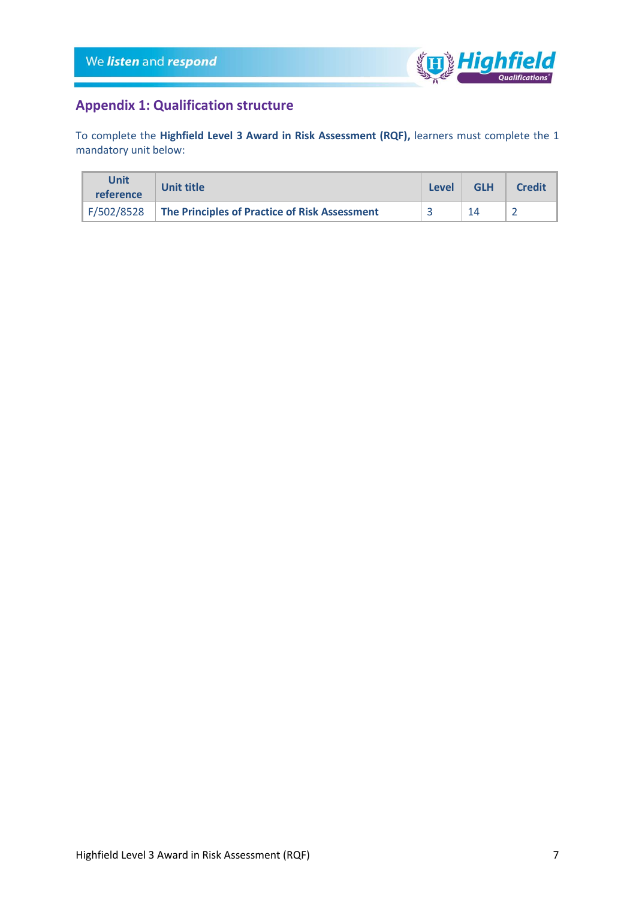

## <span id="page-6-0"></span>**Appendix 1: Qualification structure**

To complete the **Highfield Level 3 Award in Risk Assessment (RQF),** learners must complete the 1 mandatory unit below:

| Unit<br>reference | <b>Unit title</b>                             | Level | <b>GLH</b> | <b>Credit</b> |
|-------------------|-----------------------------------------------|-------|------------|---------------|
| F/502/8528        | The Principles of Practice of Risk Assessment |       | 14         |               |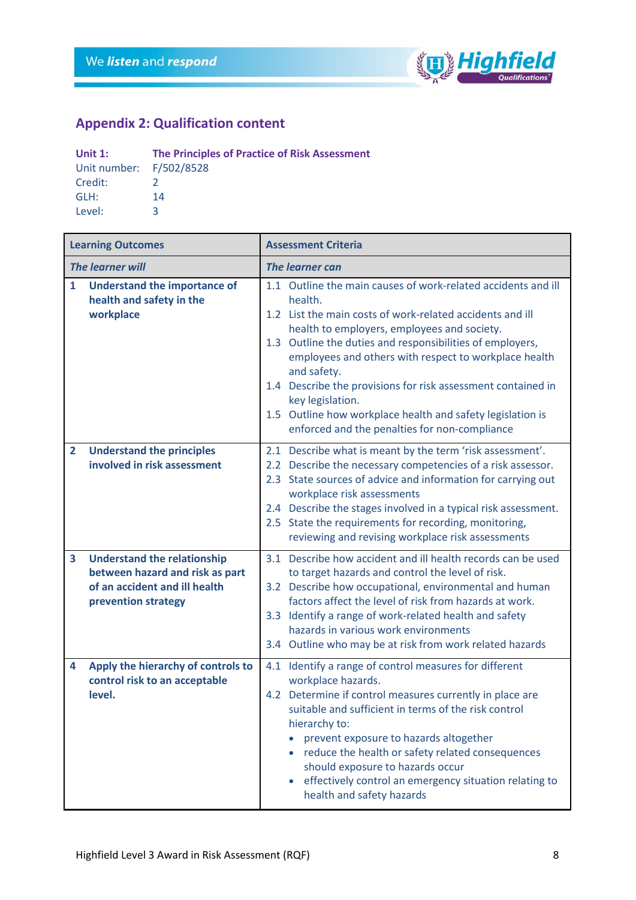

## <span id="page-7-0"></span>**Appendix 2: Qualification content**

| Unit $1$ :              | <b>The Principles of Practice of Risk Assessment</b> |  |  |
|-------------------------|------------------------------------------------------|--|--|
| Unit number: F/502/8528 |                                                      |  |  |
| Credit:                 |                                                      |  |  |
| GLH:                    | 14                                                   |  |  |
| Level:                  | ∍                                                    |  |  |

|                                                                                              | <b>Learning Outcomes</b>                                                                                                      | <b>Assessment Criteria</b>                                                                                                                                                                                                                                                                                                                                                                                                                                                                                                   |  |  |  |
|----------------------------------------------------------------------------------------------|-------------------------------------------------------------------------------------------------------------------------------|------------------------------------------------------------------------------------------------------------------------------------------------------------------------------------------------------------------------------------------------------------------------------------------------------------------------------------------------------------------------------------------------------------------------------------------------------------------------------------------------------------------------------|--|--|--|
| <b>The learner will</b>                                                                      |                                                                                                                               | <b>The learner can</b>                                                                                                                                                                                                                                                                                                                                                                                                                                                                                                       |  |  |  |
| <b>Understand the importance of</b><br>$\mathbf{1}$<br>health and safety in the<br>workplace |                                                                                                                               | 1.1 Outline the main causes of work-related accidents and ill<br>health.<br>1.2 List the main costs of work-related accidents and ill<br>health to employers, employees and society.<br>1.3 Outline the duties and responsibilities of employers,<br>employees and others with respect to workplace health<br>and safety.<br>1.4 Describe the provisions for risk assessment contained in<br>key legislation.<br>1.5 Outline how workplace health and safety legislation is<br>enforced and the penalties for non-compliance |  |  |  |
| $\overline{2}$                                                                               | <b>Understand the principles</b><br>involved in risk assessment                                                               | 2.1 Describe what is meant by the term 'risk assessment'.<br>2.2 Describe the necessary competencies of a risk assessor.<br>2.3 State sources of advice and information for carrying out<br>workplace risk assessments<br>2.4 Describe the stages involved in a typical risk assessment.<br>2.5 State the requirements for recording, monitoring,<br>reviewing and revising workplace risk assessments                                                                                                                       |  |  |  |
| 3                                                                                            | <b>Understand the relationship</b><br>between hazard and risk as part<br>of an accident and ill health<br>prevention strategy | 3.1 Describe how accident and ill health records can be used<br>to target hazards and control the level of risk.<br>3.2 Describe how occupational, environmental and human<br>factors affect the level of risk from hazards at work.<br>3.3 Identify a range of work-related health and safety<br>hazards in various work environments<br>3.4 Outline who may be at risk from work related hazards                                                                                                                           |  |  |  |
| 4                                                                                            | Apply the hierarchy of controls to<br>control risk to an acceptable<br>level.                                                 | 4.1 Identify a range of control measures for different<br>workplace hazards.<br>4.2 Determine if control measures currently in place are<br>suitable and sufficient in terms of the risk control<br>hierarchy to:<br>prevent exposure to hazards altogether<br>reduce the health or safety related consequences<br>should exposure to hazards occur<br>effectively control an emergency situation relating to<br>health and safety hazards                                                                                   |  |  |  |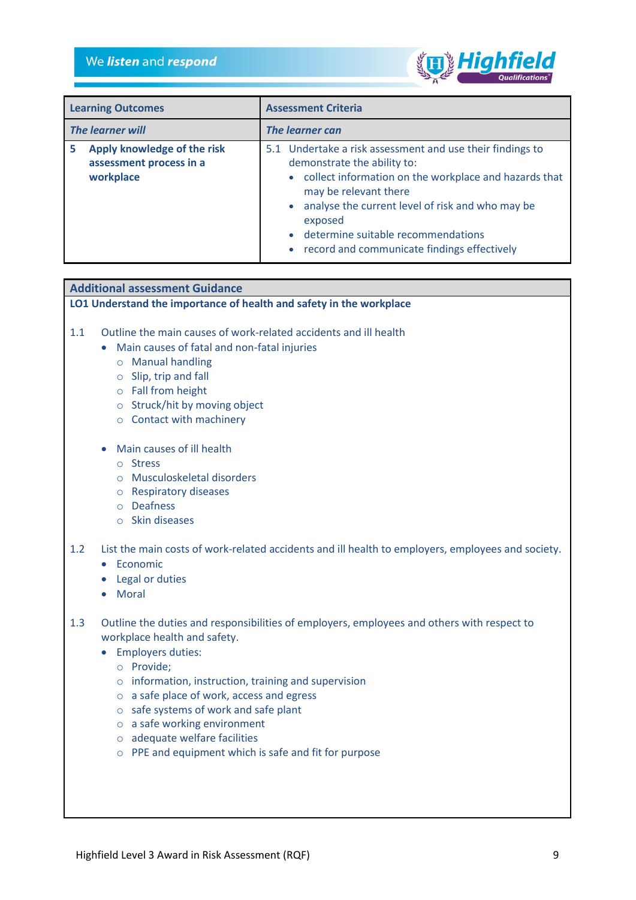

| <b>Learning Outcomes</b>                                                 | <b>Assessment Criteria</b>                                                                                                                                                                                                                                                                                                             |  |  |  |
|--------------------------------------------------------------------------|----------------------------------------------------------------------------------------------------------------------------------------------------------------------------------------------------------------------------------------------------------------------------------------------------------------------------------------|--|--|--|
| <b>The learner will</b>                                                  | The learner can                                                                                                                                                                                                                                                                                                                        |  |  |  |
| Apply knowledge of the risk<br>5<br>assessment process in a<br>workplace | 5.1 Undertake a risk assessment and use their findings to<br>demonstrate the ability to:<br>• collect information on the workplace and hazards that<br>may be relevant there<br>• analyse the current level of risk and who may be<br>exposed<br>• determine suitable recommendations<br>• record and communicate findings effectively |  |  |  |

#### **Additional assessment Guidance**

#### **LO1 Understand the importance of health and safety in the workplace**

- 1.1 Outline the main causes of work-related accidents and ill health
	- Main causes of fatal and non-fatal injuries
		- o Manual handling
		- o Slip, trip and fall
		- o Fall from height
		- o Struck/hit by moving object
		- o Contact with machinery
	- Main causes of ill health
		- o Stress
		- o Musculoskeletal disorders
		- o Respiratory diseases
		- o Deafness
		- o Skin diseases
- 1.2 List the main costs of work-related accidents and ill health to employers, employees and society.
	- Economic
	- Legal or duties
	- Moral
- 1.3 Outline the duties and responsibilities of employers, employees and others with respect to workplace health and safety.
	- Employers duties:
		- o Provide;
		- o information, instruction, training and supervision
		- o a safe place of work, access and egress
		- o safe systems of work and safe plant
		- o a safe working environment
		- o adequate welfare facilities
		- o PPE and equipment which is safe and fit for purpose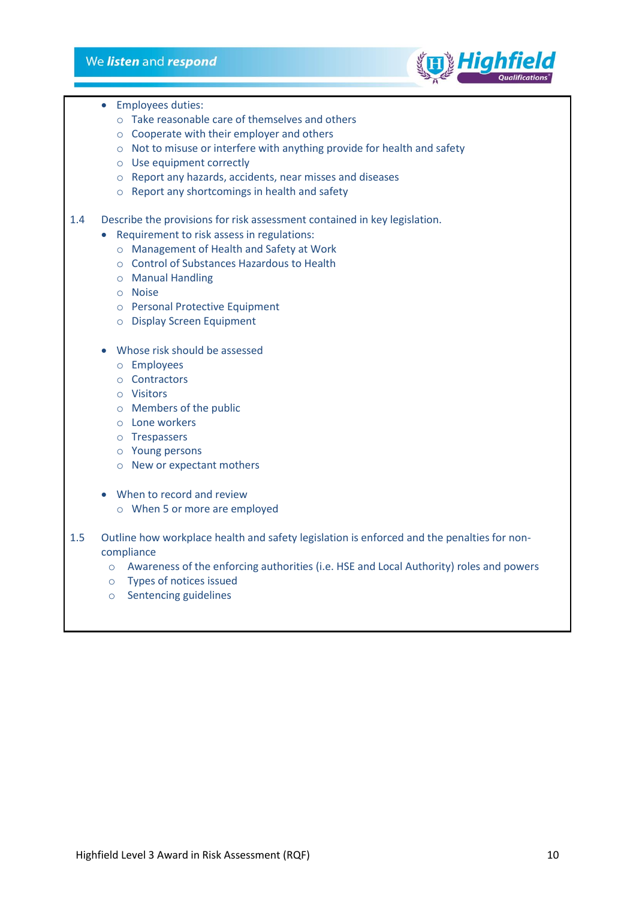#### We listen and respond



- Employees duties:
	- o Take reasonable care of themselves and others
	- o Cooperate with their employer and others
	- o Not to misuse or interfere with anything provide for health and safety
	- o Use equipment correctly
	- o Report any hazards, accidents, near misses and diseases
	- o Report any shortcomings in health and safety
- 1.4 Describe the provisions for risk assessment contained in key legislation.
	- Requirement to risk assess in regulations:
		- o Management of Health and Safety at Work
		- o Control of Substances Hazardous to Health
		- o Manual Handling
		- o Noise
		- o Personal Protective Equipment
		- o Display Screen Equipment
		- Whose risk should be assessed
			- o Employees
			- o Contractors
			- o Visitors
			- o Members of the public
			- o Lone workers
			- o Trespassers
			- o Young persons
			- o New or expectant mothers
		- When to record and review
			- o When 5 or more are employed
- 1.5 Outline how workplace health and safety legislation is enforced and the penalties for noncompliance
	- o Awareness of the enforcing authorities (i.e. HSE and Local Authority) roles and powers
	- o Types of notices issued
	- o Sentencing guidelines